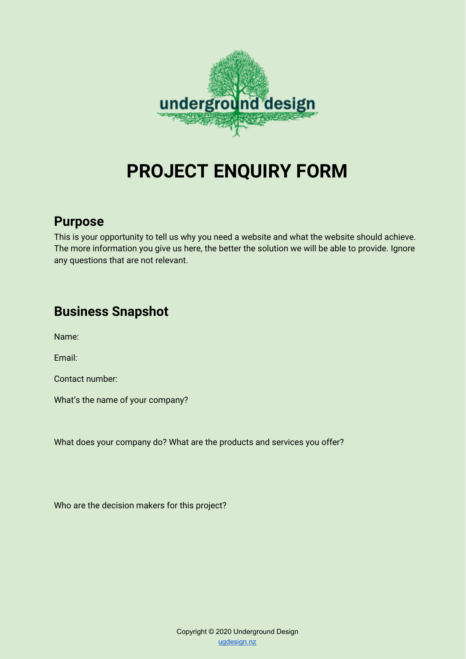

# **PROJECT ENQUIRY FORM**

## **Purpose**

This is your opportunity to tell us why you need a website and what the website should achieve. The more information you give us here, the better the solution we will be able to provide. Ignore any questions that are not relevant.

# **Business Snapshot**

Name:

Email:

Contact number:

What's the name of your company?

What does your company do? What are the products and services you offer?

Who are the decision makers for this project?

Copyright © 2020 Underground Design [ugdesign.nz](https://ugdesign.nz/)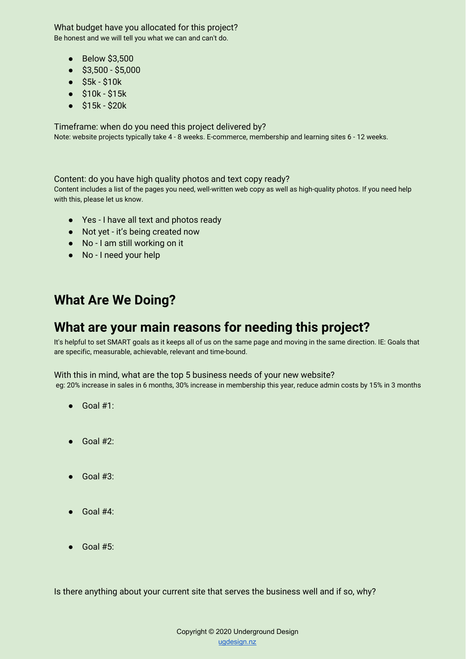What budget have you allocated for this project? Be honest and we will tell you what we can and can't do.

- Below \$3,500
- \$3,500 \$5,000
- \$5k \$10k
- \$10k \$15k
- \$15k \$20k

Timeframe: when do you need this project delivered by? Note: website projects typically take 4 - 8 weeks. E-commerce, membership and learning sites 6 - 12 weeks.

#### Content: do you have high quality photos and text copy ready?

Content includes a list of the pages you need, well-written web copy as well as high-quality photos. If you need help with this, please let us know.

- Yes I have all text and photos ready
- Not yet it's being created now
- No I am still working on it
- No I need your help

## **What Are We Doing?**

### **What are your main reasons for needing this project?**

It's helpful to set SMART goals as it keeps all of us on the same page and moving in the same direction. IE: Goals that are specific, measurable, achievable, relevant and time-bound.

#### With this in mind, what are the top 5 business needs of your new website?

eg: 20% increase in sales in 6 months, 30% increase in membership this year, reduce admin costs by 15% in 3 months

- $\bullet$  Goal #1:
- $\bullet$  Goal #2:
- Goal #3:
- Goal #4:
- $\sim$  Goal #5:

Is there anything about your current site that serves the business well and if so, why?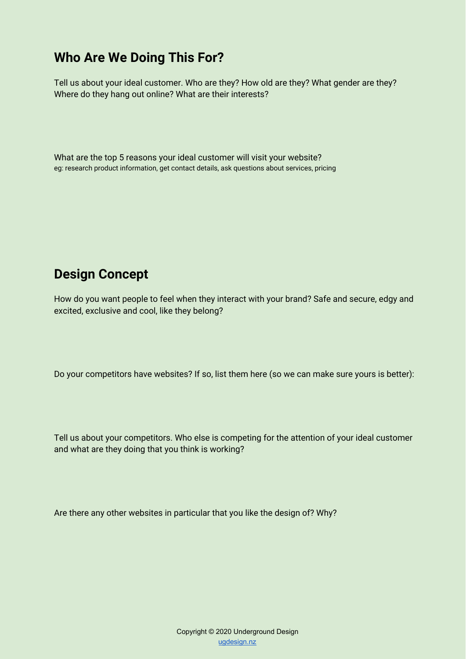# **Who Are We Doing This For?**

Tell us about your ideal customer. Who are they? How old are they? What gender are they? Where do they hang out online? What are their interests?

What are the top 5 reasons your ideal customer will visit your website? eg: research product information, get contact details, ask questions about services, pricing

# **Design Concept**

How do you want people to feel when they interact with your brand? Safe and secure, edgy and excited, exclusive and cool, like they belong?

Do your competitors have websites? If so, list them here (so we can make sure yours is better):

Tell us about your competitors. Who else is competing for the attention of your ideal customer and what are they doing that you think is working?

Are there any other websites in particular that you like the design of? Why?

Copyright © 2020 Underground Design [ugdesign.nz](https://ugdesign.nz/)